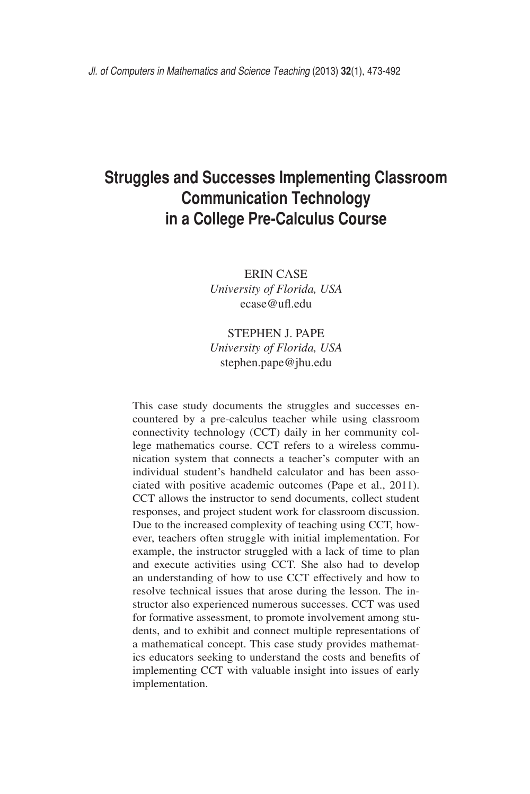# **Struggles and Successes Implementing Classroom Communication Technology in a College Pre-Calculus Course**

Erin Case *University of Florida, USA* ecase@ufl.edu

# Stephen J. Pape *University of Florida, USA* stephen.pape@jhu.edu

This case study documents the struggles and successes encountered by a pre-calculus teacher while using classroom connectivity technology (CCT) daily in her community college mathematics course. CCT refers to a wireless communication system that connects a teacher's computer with an individual student's handheld calculator and has been associated with positive academic outcomes (Pape et al., 2011). CCT allows the instructor to send documents, collect student responses, and project student work for classroom discussion. Due to the increased complexity of teaching using CCT, however, teachers often struggle with initial implementation. For example, the instructor struggled with a lack of time to plan and execute activities using CCT. She also had to develop an understanding of how to use CCT effectively and how to resolve technical issues that arose during the lesson. The instructor also experienced numerous successes. CCT was used for formative assessment, to promote involvement among students, and to exhibit and connect multiple representations of a mathematical concept. This case study provides mathematics educators seeking to understand the costs and benefits of implementing CCT with valuable insight into issues of early implementation.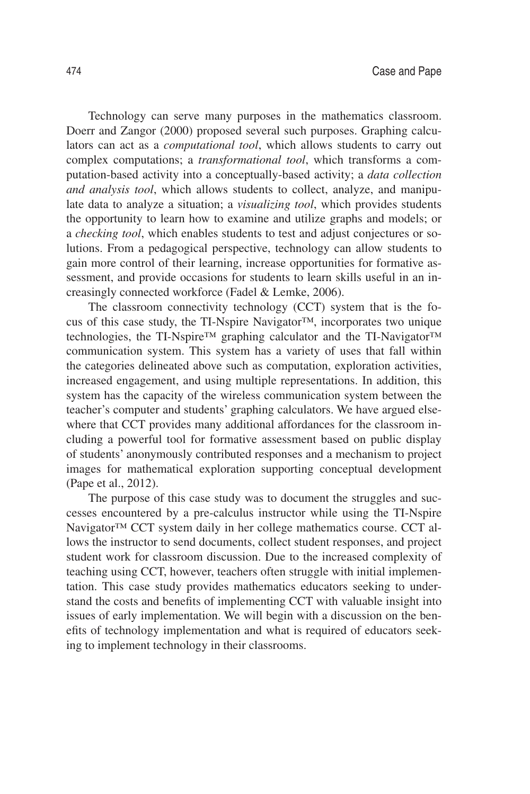Technology can serve many purposes in the mathematics classroom. Doerr and Zangor (2000) proposed several such purposes. Graphing calculators can act as a *computational tool*, which allows students to carry out complex computations; a *transformational tool*, which transforms a computation-based activity into a conceptually-based activity; a *data collection and analysis tool*, which allows students to collect, analyze, and manipulate data to analyze a situation; a *visualizing tool*, which provides students the opportunity to learn how to examine and utilize graphs and models; or a *checking tool*, which enables students to test and adjust conjectures or solutions. From a pedagogical perspective, technology can allow students to gain more control of their learning, increase opportunities for formative assessment, and provide occasions for students to learn skills useful in an increasingly connected workforce (Fadel & Lemke, 2006).

The classroom connectivity technology (CCT) system that is the focus of this case study, the TI-Nspire Navigator™, incorporates two unique technologies, the TI-Nspire<sup>™</sup> graphing calculator and the TI-Navigator<sup>™</sup> communication system. This system has a variety of uses that fall within the categories delineated above such as computation, exploration activities, increased engagement, and using multiple representations. In addition, this system has the capacity of the wireless communication system between the teacher's computer and students' graphing calculators. We have argued elsewhere that CCT provides many additional affordances for the classroom including a powerful tool for formative assessment based on public display of students' anonymously contributed responses and a mechanism to project images for mathematical exploration supporting conceptual development (Pape et al., 2012).

The purpose of this case study was to document the struggles and successes encountered by a pre-calculus instructor while using the TI-Nspire Navigator™ CCT system daily in her college mathematics course. CCT allows the instructor to send documents, collect student responses, and project student work for classroom discussion. Due to the increased complexity of teaching using CCT, however, teachers often struggle with initial implementation. This case study provides mathematics educators seeking to understand the costs and benefits of implementing CCT with valuable insight into issues of early implementation. We will begin with a discussion on the benefits of technology implementation and what is required of educators seeking to implement technology in their classrooms.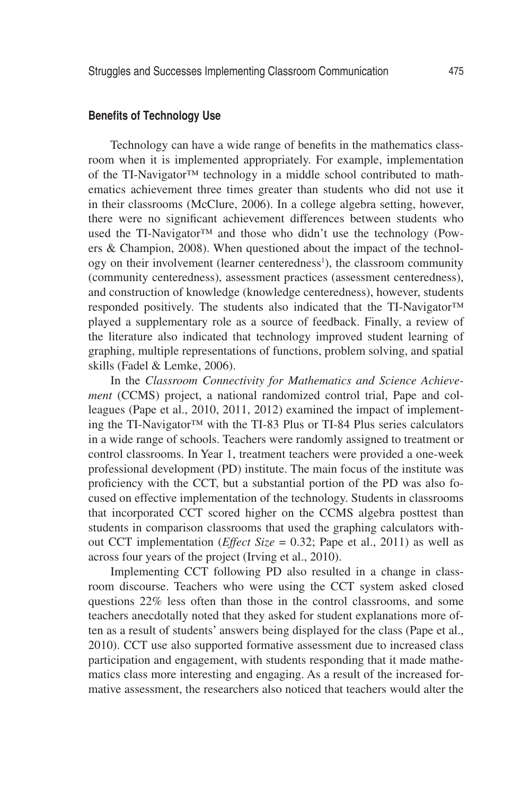## **Benefits of Technology Use**

Technology can have a wide range of benefits in the mathematics classroom when it is implemented appropriately. For example, implementation of the TI-Navigator™ technology in a middle school contributed to mathematics achievement three times greater than students who did not use it in their classrooms (McClure, 2006). In a college algebra setting, however, there were no significant achievement differences between students who used the TI-Navigator™ and those who didn't use the technology (Powers & Champion, 2008). When questioned about the impact of the technology on their involvement (learner centeredness<sup>1</sup>), the classroom community (community centeredness), assessment practices (assessment centeredness), and construction of knowledge (knowledge centeredness), however, students responded positively. The students also indicated that the TI-Navigator™ played a supplementary role as a source of feedback. Finally, a review of the literature also indicated that technology improved student learning of graphing, multiple representations of functions, problem solving, and spatial skills (Fadel & Lemke, 2006).

In the *Classroom Connectivity for Mathematics and Science Achievement* (CCMS) project, a national randomized control trial, Pape and colleagues (Pape et al., 2010, 2011, 2012) examined the impact of implementing the TI-Navigator™ with the TI-83 Plus or TI-84 Plus series calculators in a wide range of schools. Teachers were randomly assigned to treatment or control classrooms. In Year 1, treatment teachers were provided a one-week professional development (PD) institute. The main focus of the institute was proficiency with the CCT, but a substantial portion of the PD was also focused on effective implementation of the technology. Students in classrooms that incorporated CCT scored higher on the CCMS algebra posttest than students in comparison classrooms that used the graphing calculators without CCT implementation (*Effect Size* = 0.32; Pape et al., 2011) as well as across four years of the project (Irving et al., 2010).

Implementing CCT following PD also resulted in a change in classroom discourse. Teachers who were using the CCT system asked closed questions 22% less often than those in the control classrooms, and some teachers anecdotally noted that they asked for student explanations more often as a result of students' answers being displayed for the class (Pape et al., 2010). CCT use also supported formative assessment due to increased class participation and engagement, with students responding that it made mathematics class more interesting and engaging. As a result of the increased formative assessment, the researchers also noticed that teachers would alter the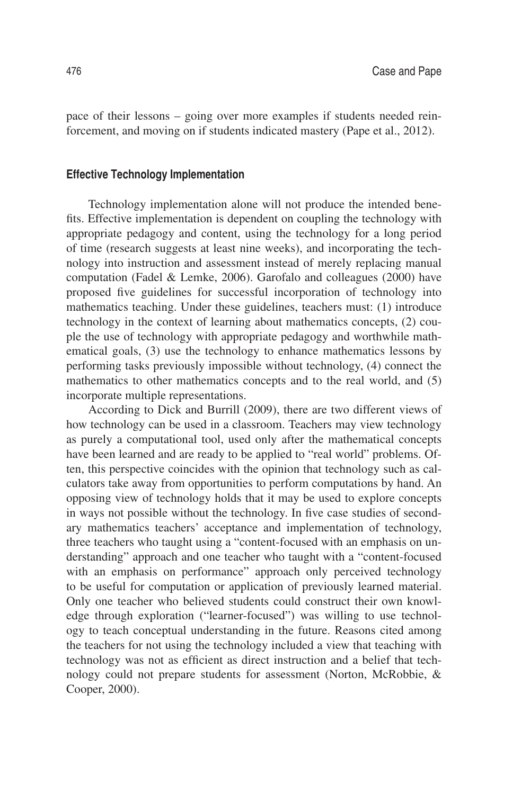pace of their lessons – going over more examples if students needed reinforcement, and moving on if students indicated mastery (Pape et al., 2012).

### **Effective Technology Implementation**

Technology implementation alone will not produce the intended benefits. Effective implementation is dependent on coupling the technology with appropriate pedagogy and content, using the technology for a long period of time (research suggests at least nine weeks), and incorporating the technology into instruction and assessment instead of merely replacing manual computation (Fadel & Lemke, 2006). Garofalo and colleagues (2000) have proposed five guidelines for successful incorporation of technology into mathematics teaching. Under these guidelines, teachers must: (1) introduce technology in the context of learning about mathematics concepts, (2) couple the use of technology with appropriate pedagogy and worthwhile mathematical goals, (3) use the technology to enhance mathematics lessons by performing tasks previously impossible without technology, (4) connect the mathematics to other mathematics concepts and to the real world, and (5) incorporate multiple representations.

According to Dick and Burrill (2009), there are two different views of how technology can be used in a classroom. Teachers may view technology as purely a computational tool, used only after the mathematical concepts have been learned and are ready to be applied to "real world" problems. Often, this perspective coincides with the opinion that technology such as calculators take away from opportunities to perform computations by hand. An opposing view of technology holds that it may be used to explore concepts in ways not possible without the technology. In five case studies of secondary mathematics teachers' acceptance and implementation of technology, three teachers who taught using a "content-focused with an emphasis on understanding" approach and one teacher who taught with a "content-focused with an emphasis on performance" approach only perceived technology to be useful for computation or application of previously learned material. Only one teacher who believed students could construct their own knowledge through exploration ("learner-focused") was willing to use technology to teach conceptual understanding in the future. Reasons cited among the teachers for not using the technology included a view that teaching with technology was not as efficient as direct instruction and a belief that technology could not prepare students for assessment (Norton, McRobbie, & Cooper, 2000).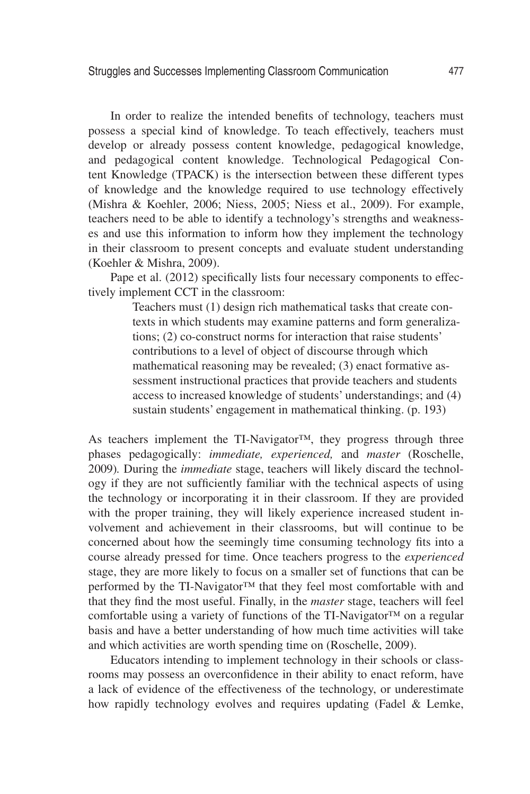In order to realize the intended benefits of technology, teachers must possess a special kind of knowledge. To teach effectively, teachers must develop or already possess content knowledge, pedagogical knowledge, and pedagogical content knowledge. Technological Pedagogical Content Knowledge (TPACK) is the intersection between these different types of knowledge and the knowledge required to use technology effectively (Mishra & Koehler, 2006; Niess, 2005; Niess et al., 2009). For example, teachers need to be able to identify a technology's strengths and weaknesses and use this information to inform how they implement the technology in their classroom to present concepts and evaluate student understanding (Koehler & Mishra, 2009).

Pape et al. (2012) specifically lists four necessary components to effectively implement CCT in the classroom:

> Teachers must (1) design rich mathematical tasks that create contexts in which students may examine patterns and form generalizations; (2) co-construct norms for interaction that raise students' contributions to a level of object of discourse through which mathematical reasoning may be revealed; (3) enact formative assessment instructional practices that provide teachers and students access to increased knowledge of students' understandings; and (4) sustain students' engagement in mathematical thinking. (p. 193)

As teachers implement the TI-Navigator™, they progress through three phases pedagogically: *immediate, experienced,* and *master* (Roschelle, 2009)*.* During the *immediate* stage, teachers will likely discard the technology if they are not sufficiently familiar with the technical aspects of using the technology or incorporating it in their classroom. If they are provided with the proper training, they will likely experience increased student involvement and achievement in their classrooms, but will continue to be concerned about how the seemingly time consuming technology fits into a course already pressed for time. Once teachers progress to the *experienced* stage, they are more likely to focus on a smaller set of functions that can be performed by the TI-Navigator™ that they feel most comfortable with and that they find the most useful. Finally, in the *master* stage, teachers will feel comfortable using a variety of functions of the TI-Navigator™ on a regular basis and have a better understanding of how much time activities will take and which activities are worth spending time on (Roschelle, 2009).

Educators intending to implement technology in their schools or classrooms may possess an overconfidence in their ability to enact reform, have a lack of evidence of the effectiveness of the technology, or underestimate how rapidly technology evolves and requires updating (Fadel & Lemke,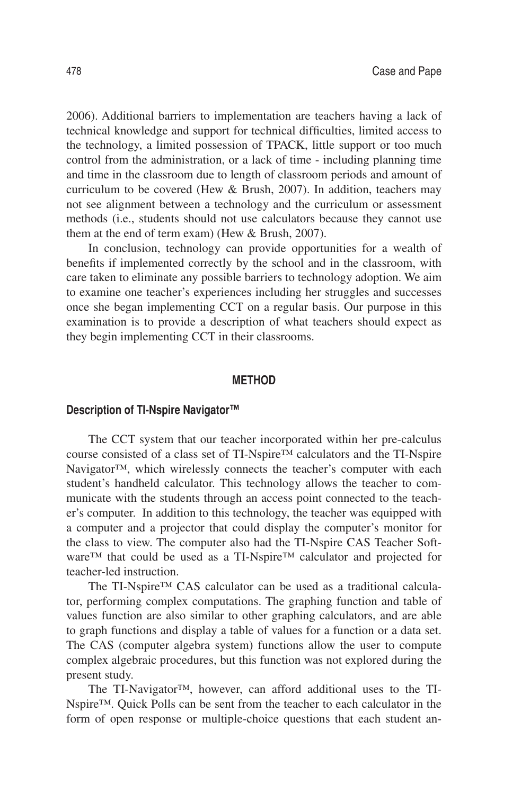2006). Additional barriers to implementation are teachers having a lack of technical knowledge and support for technical difficulties, limited access to the technology, a limited possession of TPACK, little support or too much control from the administration, or a lack of time - including planning time and time in the classroom due to length of classroom periods and amount of curriculum to be covered (Hew & Brush, 2007). In addition, teachers may not see alignment between a technology and the curriculum or assessment methods (i.e., students should not use calculators because they cannot use them at the end of term exam) (Hew & Brush, 2007).

In conclusion, technology can provide opportunities for a wealth of benefits if implemented correctly by the school and in the classroom, with care taken to eliminate any possible barriers to technology adoption. We aim to examine one teacher's experiences including her struggles and successes once she began implementing CCT on a regular basis. Our purpose in this examination is to provide a description of what teachers should expect as they begin implementing CCT in their classrooms.

### **Method**

## **Description of TI-Nspire Navigator™**

The CCT system that our teacher incorporated within her pre-calculus course consisted of a class set of TI-Nspire™ calculators and the TI-Nspire Navigator<sup>™</sup>, which wirelessly connects the teacher's computer with each student's handheld calculator. This technology allows the teacher to communicate with the students through an access point connected to the teacher's computer. In addition to this technology, the teacher was equipped with a computer and a projector that could display the computer's monitor for the class to view. The computer also had the TI-Nspire CAS Teacher Software™ that could be used as a TI-Nspire™ calculator and projected for teacher-led instruction.

The TI-Nspire™ CAS calculator can be used as a traditional calculator, performing complex computations. The graphing function and table of values function are also similar to other graphing calculators, and are able to graph functions and display a table of values for a function or a data set. The CAS (computer algebra system) functions allow the user to compute complex algebraic procedures, but this function was not explored during the present study.

The TI-Navigator™, however, can afford additional uses to the TI-Nspire™. Quick Polls can be sent from the teacher to each calculator in the form of open response or multiple-choice questions that each student an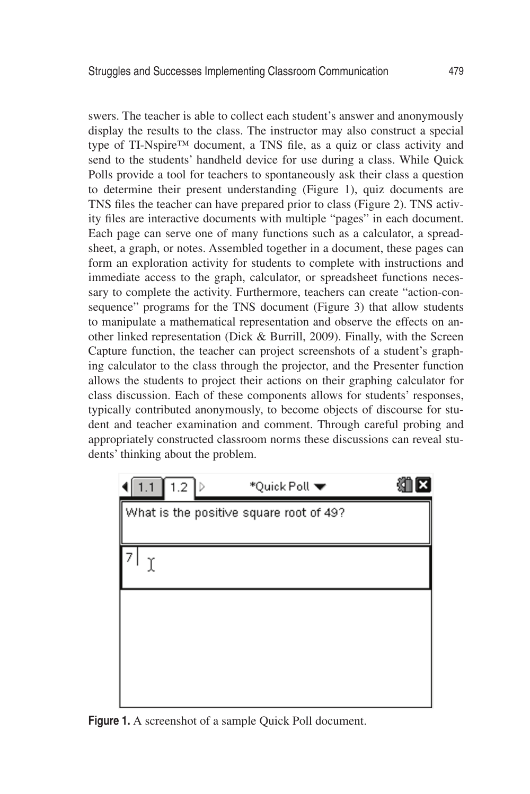swers. The teacher is able to collect each student's answer and anonymously display the results to the class. The instructor may also construct a special type of TI-Nspire™ document, a TNS file, as a quiz or class activity and send to the students' handheld device for use during a class. While Quick Polls provide a tool for teachers to spontaneously ask their class a question to determine their present understanding (Figure 1), quiz documents are TNS files the teacher can have prepared prior to class (Figure 2). TNS activity files are interactive documents with multiple "pages" in each document. Each page can serve one of many functions such as a calculator, a spreadsheet, a graph, or notes. Assembled together in a document, these pages can form an exploration activity for students to complete with instructions and immediate access to the graph, calculator, or spreadsheet functions necessary to complete the activity. Furthermore, teachers can create "action-consequence" programs for the TNS document (Figure 3) that allow students to manipulate a mathematical representation and observe the effects on another linked representation (Dick & Burrill, 2009). Finally, with the Screen Capture function, the teacher can project screenshots of a student's graphing calculator to the class through the projector, and the Presenter function allows the students to project their actions on their graphing calculator for class discussion. Each of these components allows for students' responses, typically contributed anonymously, to become objects of discourse for student and teacher examination and comment. Through careful probing and appropriately constructed classroom norms these discussions can reveal students' thinking about the problem.



**Figure 1.** A screenshot of a sample Quick Poll document.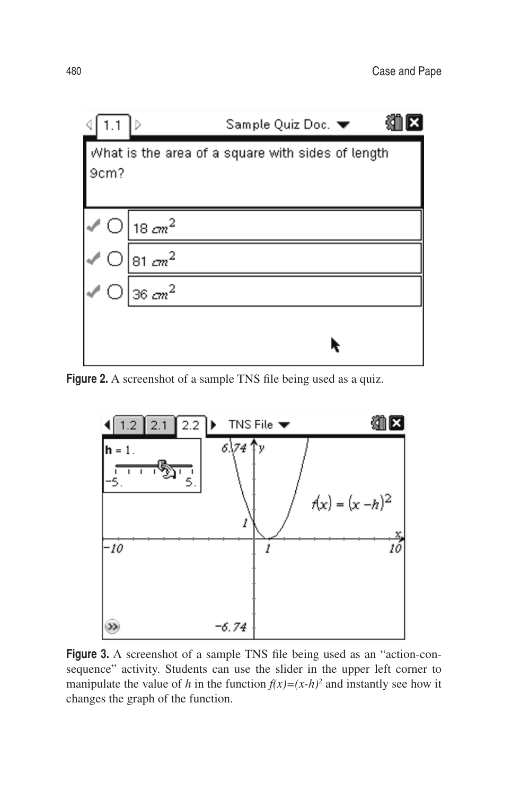

Figure 2. A screenshot of a sample TNS file being used as a quiz.



**Figure 3.** A screenshot of a sample TNS file being used as an "action-consequence" activity. Students can use the slider in the upper left corner to manipulate the value of *h* in the function  $f(x)=(x-h)^2$  and instantly see how it changes the graph of the function.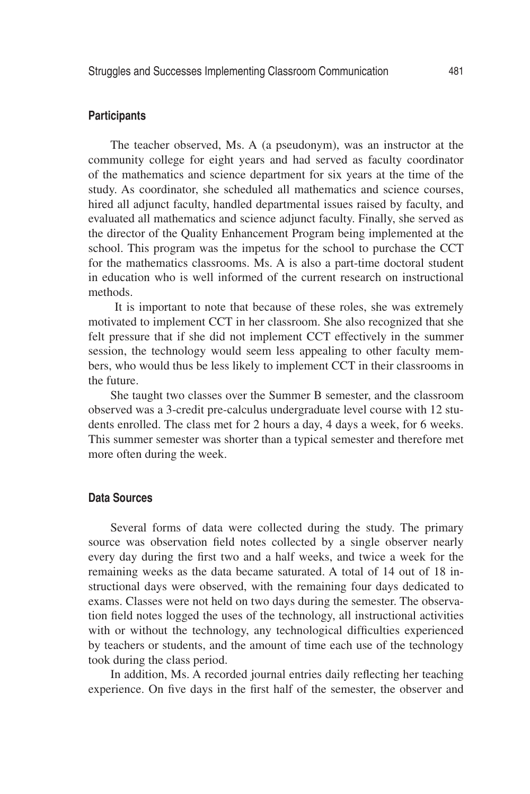## **Participants**

The teacher observed, Ms. A (a pseudonym), was an instructor at the community college for eight years and had served as faculty coordinator of the mathematics and science department for six years at the time of the study. As coordinator, she scheduled all mathematics and science courses, hired all adjunct faculty, handled departmental issues raised by faculty, and evaluated all mathematics and science adjunct faculty. Finally, she served as the director of the Quality Enhancement Program being implemented at the school. This program was the impetus for the school to purchase the CCT for the mathematics classrooms. Ms. A is also a part-time doctoral student in education who is well informed of the current research on instructional methods.

It is important to note that because of these roles, she was extremely motivated to implement CCT in her classroom. She also recognized that she felt pressure that if she did not implement CCT effectively in the summer session, the technology would seem less appealing to other faculty members, who would thus be less likely to implement CCT in their classrooms in the future.

She taught two classes over the Summer B semester, and the classroom observed was a 3-credit pre-calculus undergraduate level course with 12 students enrolled. The class met for 2 hours a day, 4 days a week, for 6 weeks. This summer semester was shorter than a typical semester and therefore met more often during the week.

## **Data Sources**

Several forms of data were collected during the study. The primary source was observation field notes collected by a single observer nearly every day during the first two and a half weeks, and twice a week for the remaining weeks as the data became saturated. A total of 14 out of 18 instructional days were observed, with the remaining four days dedicated to exams. Classes were not held on two days during the semester. The observation field notes logged the uses of the technology, all instructional activities with or without the technology, any technological difficulties experienced by teachers or students, and the amount of time each use of the technology took during the class period.

In addition, Ms. A recorded journal entries daily reflecting her teaching experience. On five days in the first half of the semester, the observer and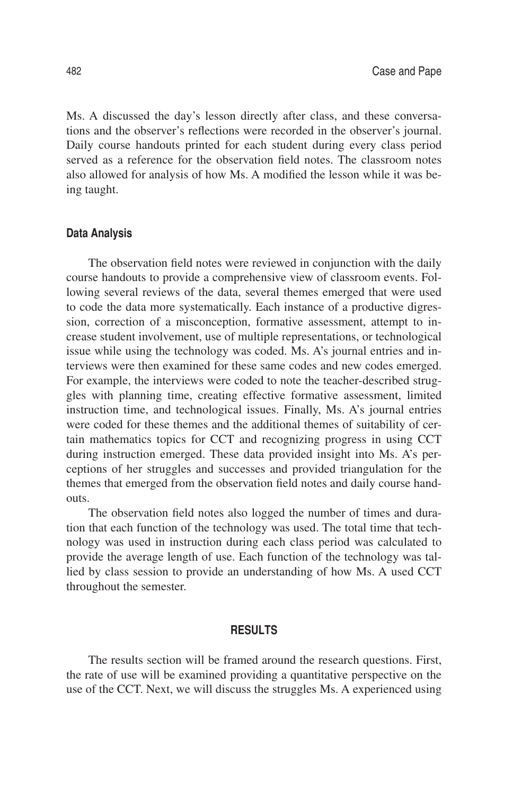Ms. A discussed the day's lesson directly after class, and these conversations and the observer's reflections were recorded in the observer's journal. Daily course handouts printed for each student during every class period served as a reference for the observation field notes. The classroom notes also allowed for analysis of how Ms. A modified the lesson while it was being taught.

#### **Data Analysis**

The observation field notes were reviewed in conjunction with the daily course handouts to provide a comprehensive view of classroom events. Following several reviews of the data, several themes emerged that were used to code the data more systematically. Each instance of a productive digression, correction of a misconception, formative assessment, attempt to increase student involvement, use of multiple representations, or technological issue while using the technology was coded. Ms. A's journal entries and interviews were then examined for these same codes and new codes emerged. For example, the interviews were coded to note the teacher-described struggles with planning time, creating effective formative assessment, limited instruction time, and technological issues. Finally, Ms. A's journal entries were coded for these themes and the additional themes of suitability of certain mathematics topics for CCT and recognizing progress in using CCT during instruction emerged. These data provided insight into Ms. A's perceptions of her struggles and successes and provided triangulation for the themes that emerged from the observation field notes and daily course handouts.

The observation field notes also logged the number of times and duration that each function of the technology was used. The total time that technology was used in instruction during each class period was calculated to provide the average length of use. Each function of the technology was tallied by class session to provide an understanding of how Ms. A used CCT throughout the semester.

### **Results**

The results section will be framed around the research questions. First, the rate of use will be examined providing a quantitative perspective on the use of the CCT. Next, we will discuss the struggles Ms. A experienced using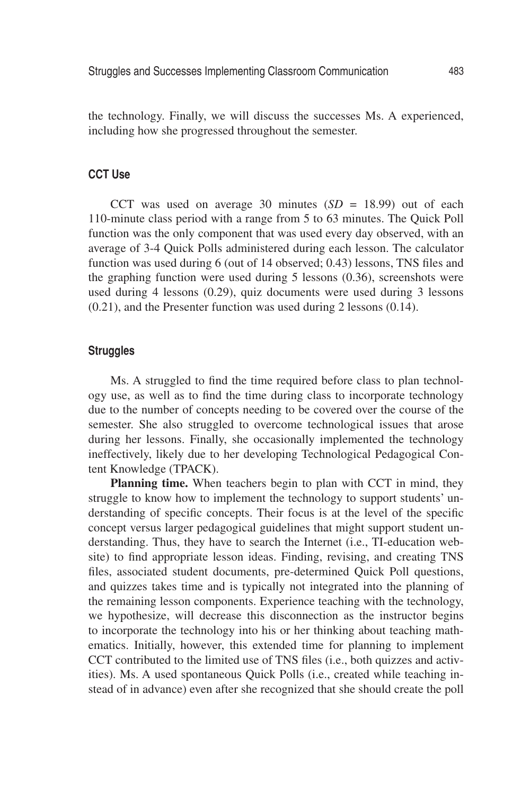the technology. Finally, we will discuss the successes Ms. A experienced, including how she progressed throughout the semester.

## **CCT Use**

CCT was used on average 30 minutes (*SD* = 18.99) out of each 110-minute class period with a range from 5 to 63 minutes. The Quick Poll function was the only component that was used every day observed, with an average of 3-4 Quick Polls administered during each lesson. The calculator function was used during 6 (out of 14 observed; 0.43) lessons, TNS files and the graphing function were used during 5 lessons (0.36), screenshots were used during 4 lessons (0.29), quiz documents were used during 3 lessons (0.21), and the Presenter function was used during 2 lessons (0.14).

## **Struggles**

Ms. A struggled to find the time required before class to plan technology use, as well as to find the time during class to incorporate technology due to the number of concepts needing to be covered over the course of the semester. She also struggled to overcome technological issues that arose during her lessons. Finally, she occasionally implemented the technology ineffectively, likely due to her developing Technological Pedagogical Content Knowledge (TPACK).

**Planning time.** When teachers begin to plan with CCT in mind, they struggle to know how to implement the technology to support students' understanding of specific concepts. Their focus is at the level of the specific concept versus larger pedagogical guidelines that might support student understanding. Thus, they have to search the Internet (i.e., TI-education website) to find appropriate lesson ideas. Finding, revising, and creating TNS files, associated student documents, pre-determined Quick Poll questions, and quizzes takes time and is typically not integrated into the planning of the remaining lesson components. Experience teaching with the technology, we hypothesize, will decrease this disconnection as the instructor begins to incorporate the technology into his or her thinking about teaching mathematics. Initially, however, this extended time for planning to implement CCT contributed to the limited use of TNS files (i.e., both quizzes and activities). Ms. A used spontaneous Quick Polls (i.e., created while teaching instead of in advance) even after she recognized that she should create the poll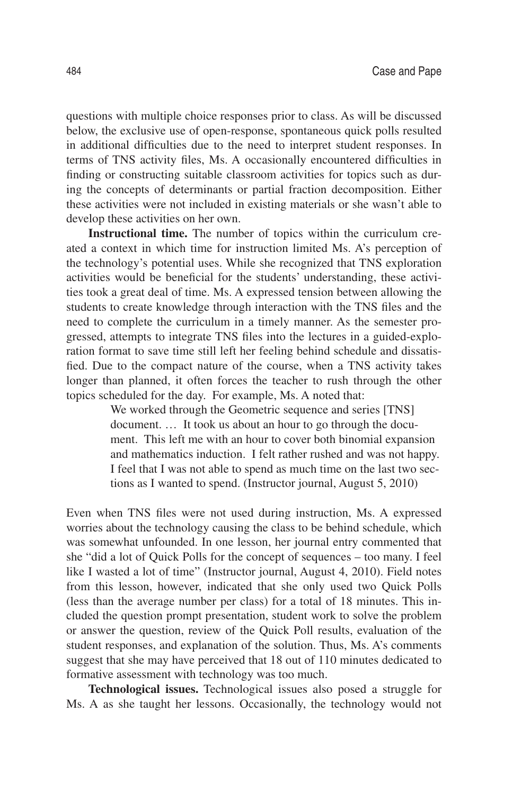questions with multiple choice responses prior to class. As will be discussed below, the exclusive use of open-response, spontaneous quick polls resulted in additional difficulties due to the need to interpret student responses. In terms of TNS activity files, Ms. A occasionally encountered difficulties in finding or constructing suitable classroom activities for topics such as during the concepts of determinants or partial fraction decomposition. Either these activities were not included in existing materials or she wasn't able to develop these activities on her own.

**Instructional time.** The number of topics within the curriculum created a context in which time for instruction limited Ms. A's perception of the technology's potential uses. While she recognized that TNS exploration activities would be beneficial for the students' understanding, these activities took a great deal of time. Ms. A expressed tension between allowing the students to create knowledge through interaction with the TNS files and the need to complete the curriculum in a timely manner. As the semester progressed, attempts to integrate TNS files into the lectures in a guided-exploration format to save time still left her feeling behind schedule and dissatisfied. Due to the compact nature of the course, when a TNS activity takes longer than planned, it often forces the teacher to rush through the other topics scheduled for the day. For example, Ms. A noted that:

> We worked through the Geometric sequence and series [TNS] document. … It took us about an hour to go through the document. This left me with an hour to cover both binomial expansion and mathematics induction. I felt rather rushed and was not happy. I feel that I was not able to spend as much time on the last two sections as I wanted to spend. (Instructor journal, August 5, 2010)

Even when TNS files were not used during instruction, Ms. A expressed worries about the technology causing the class to be behind schedule, which was somewhat unfounded. In one lesson, her journal entry commented that she "did a lot of Quick Polls for the concept of sequences – too many. I feel like I wasted a lot of time" (Instructor journal, August 4, 2010). Field notes from this lesson, however, indicated that she only used two Quick Polls (less than the average number per class) for a total of 18 minutes. This included the question prompt presentation, student work to solve the problem or answer the question, review of the Quick Poll results, evaluation of the student responses, and explanation of the solution. Thus, Ms. A's comments suggest that she may have perceived that 18 out of 110 minutes dedicated to formative assessment with technology was too much.

**Technological issues.** Technological issues also posed a struggle for Ms. A as she taught her lessons. Occasionally, the technology would not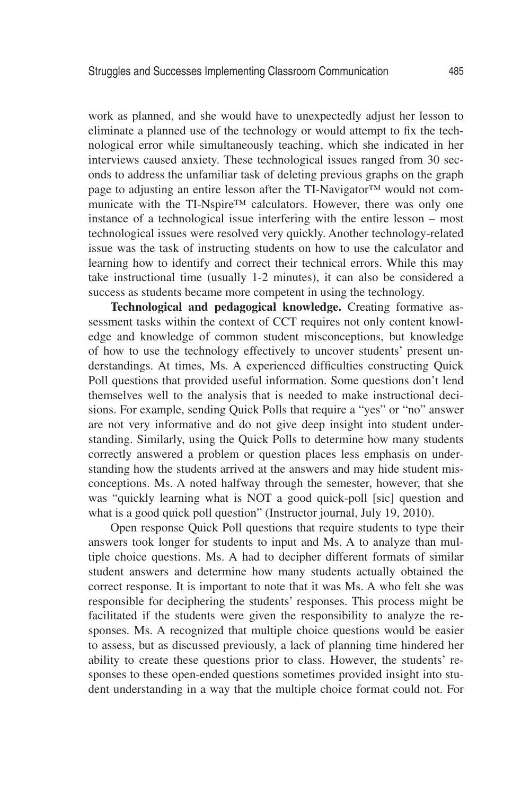work as planned, and she would have to unexpectedly adjust her lesson to eliminate a planned use of the technology or would attempt to fix the technological error while simultaneously teaching, which she indicated in her interviews caused anxiety. These technological issues ranged from 30 seconds to address the unfamiliar task of deleting previous graphs on the graph page to adjusting an entire lesson after the TI-Navigator™ would not communicate with the TI-Nspire™ calculators. However, there was only one instance of a technological issue interfering with the entire lesson – most technological issues were resolved very quickly. Another technology-related issue was the task of instructing students on how to use the calculator and learning how to identify and correct their technical errors. While this may take instructional time (usually 1-2 minutes), it can also be considered a success as students became more competent in using the technology.

**Technological and pedagogical knowledge.** Creating formative assessment tasks within the context of CCT requires not only content knowledge and knowledge of common student misconceptions, but knowledge of how to use the technology effectively to uncover students' present understandings. At times, Ms. A experienced difficulties constructing Quick Poll questions that provided useful information. Some questions don't lend themselves well to the analysis that is needed to make instructional decisions. For example, sending Quick Polls that require a "yes" or "no" answer are not very informative and do not give deep insight into student understanding. Similarly, using the Quick Polls to determine how many students correctly answered a problem or question places less emphasis on understanding how the students arrived at the answers and may hide student misconceptions. Ms. A noted halfway through the semester, however, that she was "quickly learning what is NOT a good quick-poll [sic] question and what is a good quick poll question" (Instructor journal, July 19, 2010).

Open response Quick Poll questions that require students to type their answers took longer for students to input and Ms. A to analyze than multiple choice questions. Ms. A had to decipher different formats of similar student answers and determine how many students actually obtained the correct response. It is important to note that it was Ms. A who felt she was responsible for deciphering the students' responses. This process might be facilitated if the students were given the responsibility to analyze the responses. Ms. A recognized that multiple choice questions would be easier to assess, but as discussed previously, a lack of planning time hindered her ability to create these questions prior to class. However, the students' responses to these open-ended questions sometimes provided insight into student understanding in a way that the multiple choice format could not. For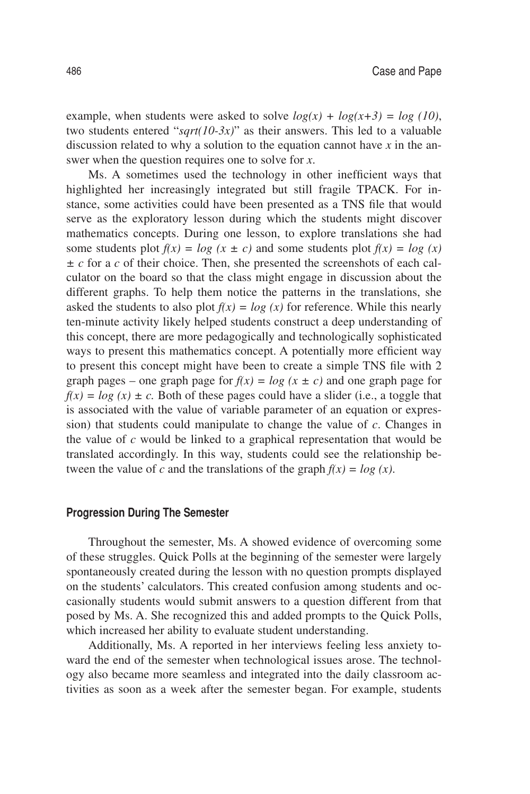example, when students were asked to solve  $log(x) + log(x+3) = log(10)$ , two students entered "*sqrt(10-3x)*" as their answers. This led to a valuable discussion related to why a solution to the equation cannot have *x* in the answer when the question requires one to solve for *x*.

Ms. A sometimes used the technology in other inefficient ways that highlighted her increasingly integrated but still fragile TPACK. For instance, some activities could have been presented as a TNS file that would serve as the exploratory lesson during which the students might discover mathematics concepts. During one lesson, to explore translations she had some students plot  $f(x) = log(x \pm c)$  and some students plot  $f(x) = log(x)$ *± c* for a *c* of their choice. Then, she presented the screenshots of each calculator on the board so that the class might engage in discussion about the different graphs. To help them notice the patterns in the translations, she asked the students to also plot  $f(x) = log(x)$  for reference. While this nearly ten-minute activity likely helped students construct a deep understanding of this concept, there are more pedagogically and technologically sophisticated ways to present this mathematics concept. A potentially more efficient way to present this concept might have been to create a simple TNS file with 2 graph pages – one graph page for  $f(x) = log(x \pm c)$  and one graph page for  $f(x) = log(x) \pm c$ . Both of these pages could have a slider (i.e., a toggle that is associated with the value of variable parameter of an equation or expression) that students could manipulate to change the value of *c*. Changes in the value of *c* would be linked to a graphical representation that would be translated accordingly. In this way, students could see the relationship between the value of *c* and the translations of the graph  $f(x) = log(x)$ .

#### **Progression During The Semester**

Throughout the semester, Ms. A showed evidence of overcoming some of these struggles. Quick Polls at the beginning of the semester were largely spontaneously created during the lesson with no question prompts displayed on the students' calculators. This created confusion among students and occasionally students would submit answers to a question different from that posed by Ms. A. She recognized this and added prompts to the Quick Polls, which increased her ability to evaluate student understanding.

Additionally, Ms. A reported in her interviews feeling less anxiety toward the end of the semester when technological issues arose. The technology also became more seamless and integrated into the daily classroom activities as soon as a week after the semester began. For example, students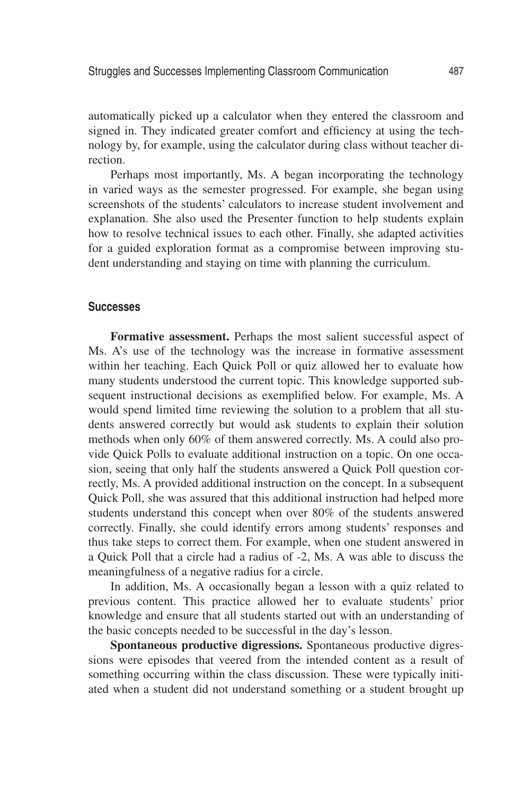automatically picked up a calculator when they entered the classroom and signed in. They indicated greater comfort and efficiency at using the technology by, for example, using the calculator during class without teacher direction.

Perhaps most importantly, Ms. A began incorporating the technology in varied ways as the semester progressed. For example, she began using screenshots of the students' calculators to increase student involvement and explanation. She also used the Presenter function to help students explain how to resolve technical issues to each other. Finally, she adapted activities for a guided exploration format as a compromise between improving student understanding and staying on time with planning the curriculum.

#### **Successes**

**Formative assessment.** Perhaps the most salient successful aspect of Ms. A's use of the technology was the increase in formative assessment within her teaching. Each Quick Poll or quiz allowed her to evaluate how many students understood the current topic. This knowledge supported subsequent instructional decisions as exemplified below. For example, Ms. A would spend limited time reviewing the solution to a problem that all students answered correctly but would ask students to explain their solution methods when only 60% of them answered correctly. Ms. A could also provide Quick Polls to evaluate additional instruction on a topic. On one occasion, seeing that only half the students answered a Quick Poll question correctly, Ms. A provided additional instruction on the concept. In a subsequent Quick Poll, she was assured that this additional instruction had helped more students understand this concept when over 80% of the students answered correctly. Finally, she could identify errors among students' responses and thus take steps to correct them. For example, when one student answered in a Quick Poll that a circle had a radius of -2, Ms. A was able to discuss the meaningfulness of a negative radius for a circle.

In addition, Ms. A occasionally began a lesson with a quiz related to previous content. This practice allowed her to evaluate students' prior knowledge and ensure that all students started out with an understanding of the basic concepts needed to be successful in the day's lesson.

**Spontaneous productive digressions.** Spontaneous productive digressions were episodes that veered from the intended content as a result of something occurring within the class discussion. These were typically initiated when a student did not understand something or a student brought up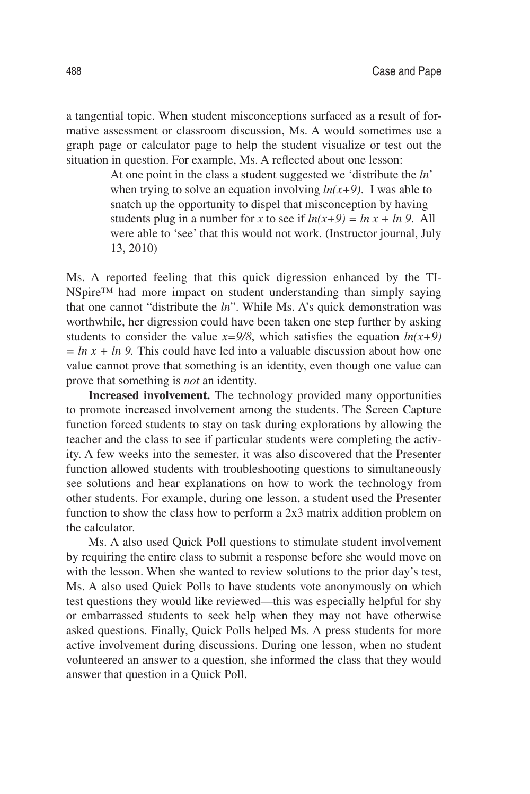a tangential topic. When student misconceptions surfaced as a result of formative assessment or classroom discussion, Ms. A would sometimes use a graph page or calculator page to help the student visualize or test out the situation in question. For example, Ms. A reflected about one lesson:

> At one point in the class a student suggested we 'distribute the *ln*' when trying to solve an equation involving  $ln(x+9)$ . I was able to snatch up the opportunity to dispel that misconception by having students plug in a number for *x* to see if  $ln(x+9) = ln x + ln 9$ . All were able to 'see' that this would not work. (Instructor journal, July 13, 2010)

Ms. A reported feeling that this quick digression enhanced by the TI-NSpire™ had more impact on student understanding than simply saying that one cannot "distribute the *ln*". While Ms. A's quick demonstration was worthwhile, her digression could have been taken one step further by asking students to consider the value  $x=9/8$ , which satisfies the equation  $ln(x+9)$  $= ln x + ln 9$ . This could have led into a valuable discussion about how one value cannot prove that something is an identity, even though one value can prove that something is *not* an identity.

**Increased involvement.** The technology provided many opportunities to promote increased involvement among the students. The Screen Capture function forced students to stay on task during explorations by allowing the teacher and the class to see if particular students were completing the activity. A few weeks into the semester, it was also discovered that the Presenter function allowed students with troubleshooting questions to simultaneously see solutions and hear explanations on how to work the technology from other students. For example, during one lesson, a student used the Presenter function to show the class how to perform a 2x3 matrix addition problem on the calculator.

Ms. A also used Quick Poll questions to stimulate student involvement by requiring the entire class to submit a response before she would move on with the lesson. When she wanted to review solutions to the prior day's test, Ms. A also used Quick Polls to have students vote anonymously on which test questions they would like reviewed—this was especially helpful for shy or embarrassed students to seek help when they may not have otherwise asked questions. Finally, Quick Polls helped Ms. A press students for more active involvement during discussions. During one lesson, when no student volunteered an answer to a question, she informed the class that they would answer that question in a Quick Poll.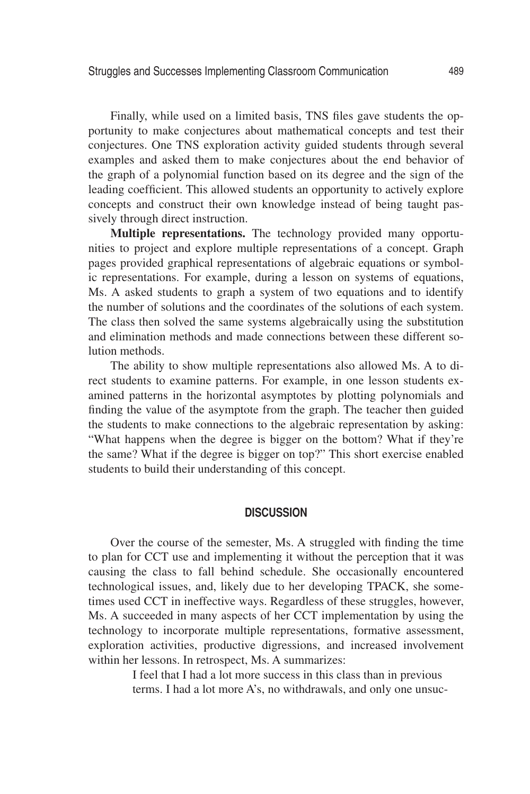Finally, while used on a limited basis, TNS files gave students the opportunity to make conjectures about mathematical concepts and test their conjectures. One TNS exploration activity guided students through several examples and asked them to make conjectures about the end behavior of the graph of a polynomial function based on its degree and the sign of the leading coefficient. This allowed students an opportunity to actively explore concepts and construct their own knowledge instead of being taught passively through direct instruction.

**Multiple representations.** The technology provided many opportunities to project and explore multiple representations of a concept. Graph pages provided graphical representations of algebraic equations or symbolic representations. For example, during a lesson on systems of equations, Ms. A asked students to graph a system of two equations and to identify the number of solutions and the coordinates of the solutions of each system. The class then solved the same systems algebraically using the substitution and elimination methods and made connections between these different solution methods.

The ability to show multiple representations also allowed Ms. A to direct students to examine patterns. For example, in one lesson students examined patterns in the horizontal asymptotes by plotting polynomials and finding the value of the asymptote from the graph. The teacher then guided the students to make connections to the algebraic representation by asking: "What happens when the degree is bigger on the bottom? What if they're the same? What if the degree is bigger on top?" This short exercise enabled students to build their understanding of this concept.

## **Discussion**

Over the course of the semester, Ms. A struggled with finding the time to plan for CCT use and implementing it without the perception that it was causing the class to fall behind schedule. She occasionally encountered technological issues, and, likely due to her developing TPACK, she sometimes used CCT in ineffective ways. Regardless of these struggles, however, Ms. A succeeded in many aspects of her CCT implementation by using the technology to incorporate multiple representations, formative assessment, exploration activities, productive digressions, and increased involvement within her lessons. In retrospect, Ms. A summarizes:

> I feel that I had a lot more success in this class than in previous terms. I had a lot more A's, no withdrawals, and only one unsuc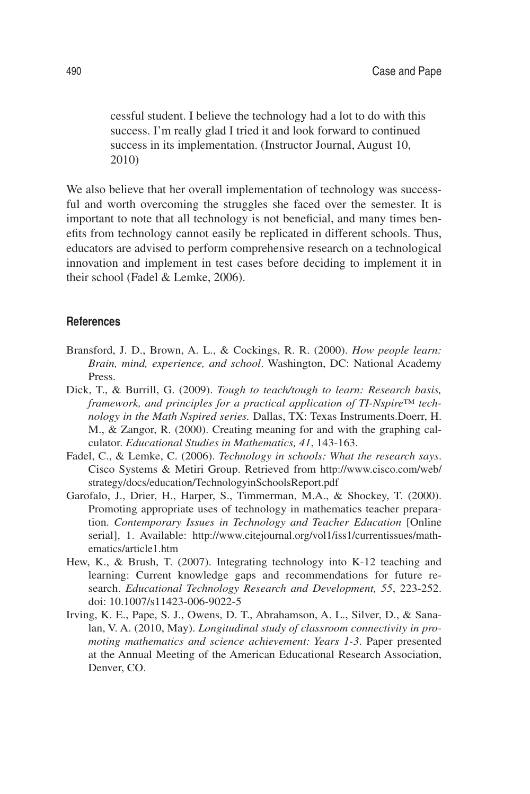cessful student. I believe the technology had a lot to do with this success. I'm really glad I tried it and look forward to continued success in its implementation. (Instructor Journal, August 10, 2010)

We also believe that her overall implementation of technology was successful and worth overcoming the struggles she faced over the semester. It is important to note that all technology is not beneficial, and many times benefits from technology cannot easily be replicated in different schools. Thus, educators are advised to perform comprehensive research on a technological innovation and implement in test cases before deciding to implement it in their school (Fadel & Lemke, 2006).

## **References**

- Bransford, J. D., Brown, A. L., & Cockings, R. R. (2000). *How people learn: Brain, mind, experience, and school*. Washington, DC: National Academy Press.
- Dick, T., & Burrill, G. (2009). *Tough to teach/tough to learn: Research basis, framework, and principles for a practical application of TI-Nspire™ technology in the Math Nspired series.* Dallas, TX: Texas Instruments.Doerr, H. M., & Zangor, R. (2000). Creating meaning for and with the graphing calculator. *Educational Studies in Mathematics, 41*, 143-163.
- Fadel, C., & Lemke, C. (2006). *Technology in schools: What the research says*. Cisco Systems & Metiri Group. Retrieved from http://www.cisco.com/web/ strategy/docs/education/TechnologyinSchoolsReport.pdf
- Garofalo, J., Drier, H., Harper, S., Timmerman, M.A., & Shockey, T. (2000). Promoting appropriate uses of technology in mathematics teacher preparation. *Contemporary Issues in Technology and Teacher Education* [Online serial], 1. Available: http://www.citejournal.org/vol1/iss1/currentissues/mathematics/article1.htm
- Hew, K., & Brush, T. (2007). Integrating technology into K-12 teaching and learning: Current knowledge gaps and recommendations for future research. *Educational Technology Research and Development, 55*, 223-252. doi: 10.1007/s11423-006-9022-5
- Irving, K. E., Pape, S. J., Owens, D. T., Abrahamson, A. L., Silver, D., & Sanalan, V. A. (2010, May). *Longitudinal study of classroom connectivity in promoting mathematics and science achievement: Years 1-3*. Paper presented at the Annual Meeting of the American Educational Research Association, Denver, CO.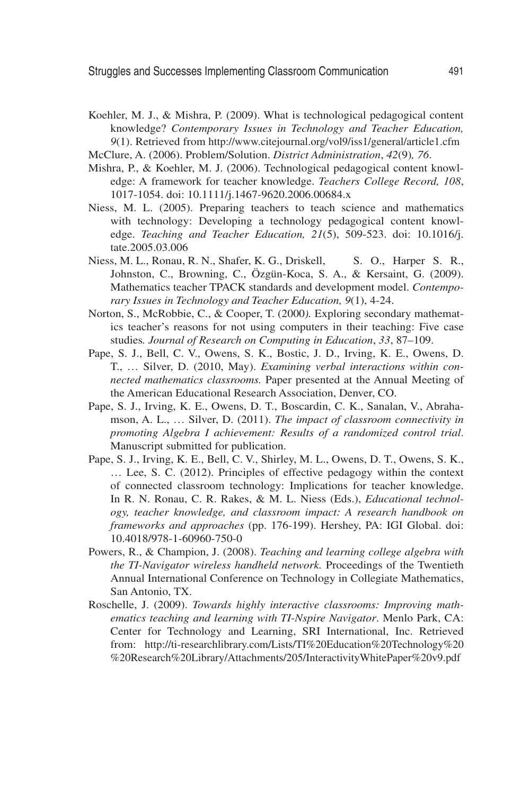- Koehler, M. J., & Mishra, P. (2009). What is technological pedagogical content knowledge? *Contemporary Issues in Technology and Teacher Education, 9*(1). Retrieved from http://www.citejournal.org/vol9/iss1/general/article1.cfm
- McClure, A. (2006). Problem/Solution. *District Administration*, *42*(9)*, 76*.
- Mishra, P., & Koehler, M. J. (2006). Technological pedagogical content knowledge: A framework for teacher knowledge. *Teachers College Record, 108*, 1017-1054. doi: 10.1111/j.1467-9620.2006.00684.x
- Niess, M. L. (2005). Preparing teachers to teach science and mathematics with technology: Developing a technology pedagogical content knowledge. *Teaching and Teacher Education, 21*(5), 509-523. doi: 10.1016/j. tate.2005.03.006
- Niess, M. L., Ronau, R. N., Shafer, K. G., Driskell, S. O., Harper S. R., Johnston, C., Browning, C., Özgün-Koca, S. A., & Kersaint, G. (2009). Mathematics teacher TPACK standards and development model. *Contemporary Issues in Technology and Teacher Education, 9*(1), 4-24.
- Norton, S., McRobbie, C., & Cooper, T. (2000*).* Exploring secondary mathematics teacher's reasons for not using computers in their teaching: Five case studies*. Journal of Research on Computing in Education*, *33*, 87–109.
- Pape, S. J., Bell, C. V., Owens, S. K., Bostic, J. D., Irving, K. E., Owens, D. T., … Silver, D. (2010, May). *Examining verbal interactions within connected mathematics classrooms.* Paper presented at the Annual Meeting of the American Educational Research Association, Denver, CO.
- Pape, S. J., Irving, K. E., Owens, D. T., Boscardin, C. K., Sanalan, V., Abrahamson, A. L., … Silver, D. (2011). *The impact of classroom connectivity in promoting Algebra I achievement: Results of a randomized control trial*. Manuscript submitted for publication.
- Pape, S. J., Irving, K. E., Bell, C. V., Shirley, M. L., Owens, D. T., Owens, S. K., … Lee, S. C. (2012). Principles of effective pedagogy within the context of connected classroom technology: Implications for teacher knowledge. In R. N. Ronau, C. R. Rakes, & M. L. Niess (Eds.), *Educational technology, teacher knowledge, and classroom impact: A research handbook on frameworks and approaches* (pp. 176-199). Hershey, PA: IGI Global. doi: 10.4018/978-1-60960-750-0
- Powers, R., & Champion, J. (2008). *Teaching and learning college algebra with the TI-Navigator wireless handheld network.* Proceedings of the Twentieth Annual International Conference on Technology in Collegiate Mathematics, San Antonio, TX.
- Roschelle, J. (2009). *Towards highly interactive classrooms: Improving mathematics teaching and learning with TI-Nspire Navigator*. Menlo Park, CA: Center for Technology and Learning, SRI International, Inc. Retrieved from: http://ti-researchlibrary.com/Lists/TI%20Education%20Technology%20 %20Research%20Library/Attachments/205/InteractivityWhitePaper%20v9.pdf